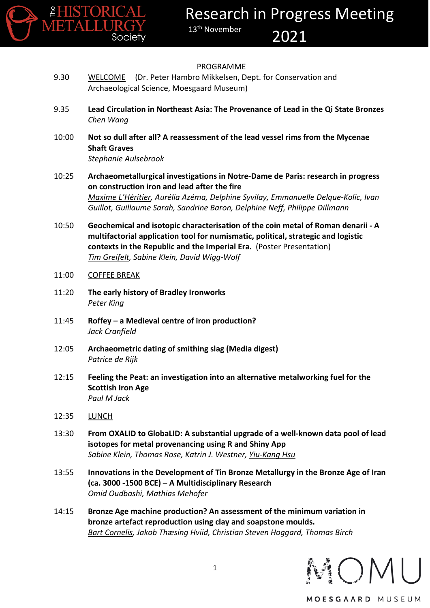

#### PROGRAMME

- 9.30 WELCOME (Dr. Peter Hambro Mikkelsen, Dept. for Conservation and Archaeological Science, Moesgaard Museum)
- 9.35 **Lead Circulation in Northeast Asia: The Provenance of Lead in the Qi State Bronzes** *Chen Wang*
- 10:00 **Not so dull after all? A reassessment of the lead vessel rims from the Mycenae Shaft Graves** *Stephanie Aulsebrook*
- 10:25 **Archaeometallurgical investigations in Notre-Dame de Paris: research in progress on construction iron and lead after the fire** *Maxime L'Héritier, Aurélia Azéma, Delphine Syvilay, Emmanuelle Delque-Kolic, Ivan Guillot, Guillaume Sarah, Sandrine Baron, Delphine Neff, Philippe Dillmann*
- 10:50 **Geochemical and isotopic characterisation of the coin metal of Roman denarii - A multifactorial application tool for numismatic, political, strategic and logistic contexts in the Republic and the Imperial Era.** (Poster Presentation) *Tim Greifelt, Sabine Klein, David Wigg-Wolf*

#### 11:00 COFFEE BREAK

- 11:20 **The early history of Bradley Ironworks** *Peter King*
- 11:45 **Roffey – a Medieval centre of iron production?** *Jack Cranfield*
- 12:05 **Archaeometric dating of smithing slag (Media digest)** *Patrice de Rijk*
- 12:15 **Feeling the Peat: an investigation into an alternative metalworking fuel for the Scottish Iron Age** *Paul M Jack*
- 12:35 LUNCH
- 13:30 **From OXALID to GlobaLID: A substantial upgrade of a well-known data pool of lead isotopes for metal provenancing using R and Shiny App** *Sabine Klein, Thomas Rose, Katrin J. Westner, Yiu-Kang Hsu*
- 13:55 **Innovations in the Development of Tin Bronze Metallurgy in the Bronze Age of Iran (ca. 3000 -1500 BCE) – A Multidisciplinary Research** *Omid Oudbashi, Mathias Mehofer*
- 14:15 **Bronze Age machine production? An assessment of the minimum variation in bronze artefact reproduction using clay and soapstone moulds.** *Bart Cornelis, Jakob Thæsing Hviid, Christian Steven Hoggard, Thomas Birch*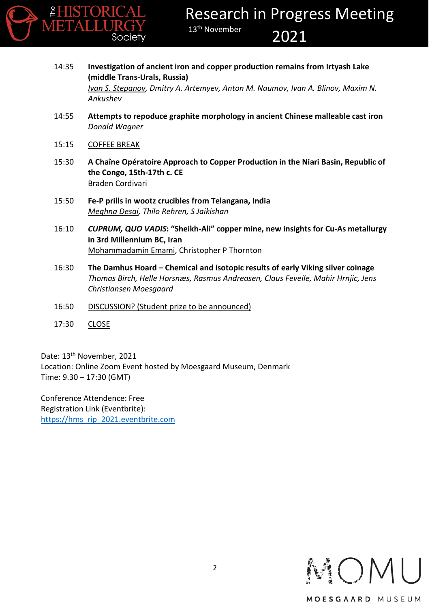

- 14:35 **Investigation of ancient iron and copper production remains from Irtyash Lake (middle Trans-Urals, Russia)** *Ivan S. Stepanov, Dmitry A. Artemyev, Anton M. Naumov, Ivan A. Blinov, Maxim N. Ankushev*
- 14:55 **Attempts to repoduce graphite morphology in ancient Chinese malleable cast iron** *Donald Wagner*
- 15:15 COFFEE BREAK
- 15:30 **A Chaîne Opératoire Approach to Copper Production in the Niari Basin, Republic of the Congo, 15th-17th c. CE** Braden Cordivari
- 15:50 **Fe-P prills in wootz crucibles from Telangana, India** *Meghna Desai, Thilo Rehren, S Jaikishan*
- 16:10 *CUPRUM, QUO VADIS***: "Sheikh-Ali" copper mine, new insights for Cu-As metallurgy in 3rd Millennium BC, Iran** Mohammadamin Emami, Christopher P Thornton
- 16:30 **The Damhus Hoard – Chemical and isotopic results of early Viking silver coinage** *Thomas Birch, Helle Horsnæs, Rasmus Andreasen, Claus Feveile, Mahir Hrnjíc, Jens Christiansen Moesgaard*
- 16:50 DISCUSSION? (Student prize to be announced)
- 17:30 CLOSE

Date: 13<sup>th</sup> November, 2021 Location: Online Zoom Event hosted by Moesgaard Museum, Denmark Time: 9.30 – 17:30 (GMT)

Conference Attendence: Free Registration Link (Eventbrite): [https://hms\\_rip\\_2021.eventbrite.com](https://hms_rip_2021.eventbrite.com/)

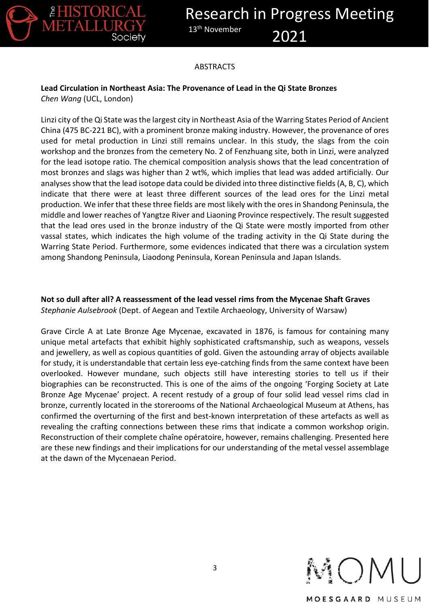

#### ABSTRACTS

# **Lead Circulation in Northeast Asia: The Provenance of Lead in the Qi State Bronzes**

*Chen Wang* (UCL, London)

Linzi city of the Qi State was the largest city in Northeast Asia of the Warring States Period of Ancient China (475 BC-221 BC), with a prominent bronze making industry. However, the provenance of ores used for metal production in Linzi still remains unclear. In this study, the slags from the coin workshop and the bronzes from the cemetery No. 2 of Fenzhuang site, both in Linzi, were analyzed for the lead isotope ratio. The chemical composition analysis shows that the lead concentration of most bronzes and slags was higher than 2 wt%, which implies that lead was added artificially. Our analyses show that the lead isotope data could be divided into three distinctive fields (A, B, C), which indicate that there were at least three different sources of the lead ores for the Linzi metal production. We infer that these three fields are most likely with the ores in Shandong Peninsula, the middle and lower reaches of Yangtze River and Liaoning Province respectively. The result suggested that the lead ores used in the bronze industry of the Qi State were mostly imported from other vassal states, which indicates the high volume of the trading activity in the Qi State during the Warring State Period. Furthermore, some evidences indicated that there was a circulation system among Shandong Peninsula, Liaodong Peninsula, Korean Peninsula and Japan Islands.

**Not so dull after all? A reassessment of the lead vessel rims from the Mycenae Shaft Graves** *Stephanie Aulsebrook* (Dept. of Aegean and Textile Archaeology, University of Warsaw)

Grave Circle A at Late Bronze Age Mycenae, excavated in 1876, is famous for containing many unique metal artefacts that exhibit highly sophisticated craftsmanship, such as weapons, vessels and jewellery, as well as copious quantities of gold. Given the astounding array of objects available for study, it is understandable that certain less eye-catching finds from the same context have been overlooked. However mundane, such objects still have interesting stories to tell us if their biographies can be reconstructed. This is one of the aims of the ongoing 'Forging Society at Late Bronze Age Mycenae' project. A recent restudy of a group of four solid lead vessel rims clad in bronze, currently located in the storerooms of the National Archaeological Museum at Athens, has confirmed the overturning of the first and best-known interpretation of these artefacts as well as revealing the crafting connections between these rims that indicate a common workshop origin. Reconstruction of their complete chaîne opératoire, however, remains challenging. Presented here are these new findings and their implications for our understanding of the metal vessel assemblage at the dawn of the Mycenaean Period.

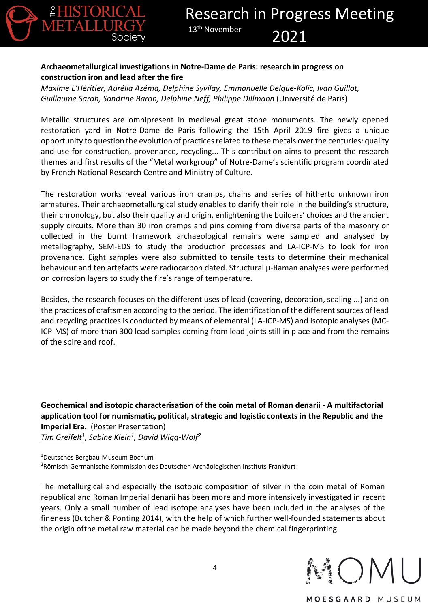# **Archaeometallurgical investigations in Notre-Dame de Paris: research in progress on construction iron and lead after the fire**

*Maxime L'Héritier, Aurélia Azéma, Delphine Syvilay, Emmanuelle Delque-Kolic, Ivan Guillot, Guillaume Sarah, Sandrine Baron, Delphine Neff, Philippe Dillmann* (Université de Paris)

Metallic structures are omnipresent in medieval great stone monuments. The newly opened restoration yard in Notre-Dame de Paris following the 15th April 2019 fire gives a unique opportunity to question the evolution of practices related to these metals over the centuries: quality and use for construction, provenance, recycling... This contribution aims to present the research themes and first results of the "Metal workgroup" of Notre-Dame's scientific program coordinated by French National Research Centre and Ministry of Culture.

The restoration works reveal various iron cramps, chains and series of hitherto unknown iron armatures. Their archaeometallurgical study enables to clarify their role in the building's structure, their chronology, but also their quality and origin, enlightening the builders' choices and the ancient supply circuits. More than 30 iron cramps and pins coming from diverse parts of the masonry or collected in the burnt framework archaeological remains were sampled and analysed by metallography, SEM-EDS to study the production processes and LA-ICP-MS to look for iron provenance. Eight samples were also submitted to tensile tests to determine their mechanical behaviour and ten artefacts were radiocarbon dated. Structural µ-Raman analyses were performed on corrosion layers to study the fire's range of temperature.

Besides, the research focuses on the different uses of lead (covering, decoration, sealing ...) and on the practices of craftsmen according to the period. The identification of the different sources of lead and recycling practices is conducted by means of elemental (LA-ICP-MS) and isotopic analyses (MC-ICP-MS) of more than 300 lead samples coming from lead joints still in place and from the remains of the spire and roof.

**Geochemical and isotopic characterisation of the coin metal of Roman denarii - A multifactorial application tool for numismatic, political, strategic and logistic contexts in the Republic and the Imperial Era.** (Poster Presentation) *Tim Greifelt1, Sabine Klein1, David Wigg-Wolf2*

1 Deutsches Bergbau-Museum Bochum 2 Römisch-Germanische Kommission des Deutschen Archäologischen Instituts Frankfurt

The metallurgical and especially the isotopic composition of silver in the coin metal of Roman republical and Roman Imperial denarii has been more and more intensively investigated in recent years. Only a small number of lead isotope analyses have been included in the analyses of the fineness (Butcher & Ponting 2014), with the help of which further well-founded statements about the origin ofthe metal raw material can be made beyond the chemical fingerprinting.

 $OM$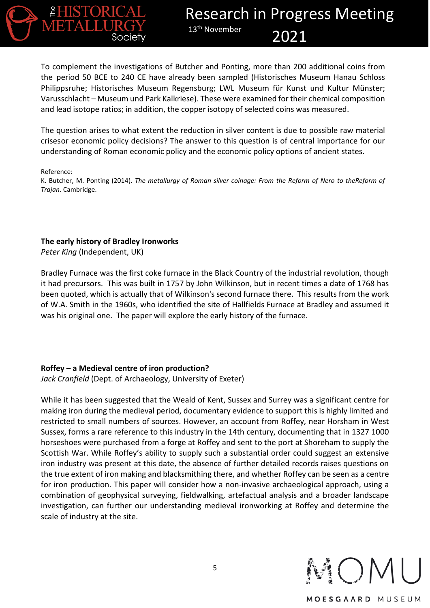

To complement the investigations of Butcher and Ponting, more than 200 additional coins from the period 50 BCE to 240 CE have already been sampled (Historisches Museum Hanau Schloss Philippsruhe; Historisches Museum Regensburg; LWL Museum für Kunst und Kultur Münster; Varusschlacht – Museum und Park Kalkriese). These were examined for their chemical composition and lead isotope ratios; in addition, the copper isotopy of selected coins was measured.

The question arises to what extent the reduction in silver content is due to possible raw material crisesor economic policy decisions? The answer to this question is of central importance for our understanding of Roman economic policy and the economic policy options of ancient states.

Reference:

K. Butcher, M. Ponting (2014). *The metallurgy of Roman silver coinage: From the Reform of Nero to theReform of Trajan*. Cambridge.

#### **The early history of Bradley Ironworks**

*Peter King* (Independent, UK)

Bradley Furnace was the first coke furnace in the Black Country of the industrial revolution, though it had precursors. This was built in 1757 by John Wilkinson, but in recent times a date of 1768 has been quoted, which is actually that of Wilkinson's second furnace there. This results from the work of W.A. Smith in the 1960s, who identified the site of Hallfields Furnace at Bradley and assumed it was his original one. The paper will explore the early history of the furnace.

#### **Roffey – a Medieval centre of iron production?**

*Jack Cranfield* (Dept. of Archaeology, University of Exeter)

While it has been suggested that the Weald of Kent, Sussex and Surrey was a significant centre for making iron during the medieval period, documentary evidence to support this is highly limited and restricted to small numbers of sources. However, an account from Roffey, near Horsham in West Sussex, forms a rare reference to this industry in the 14th century, documenting that in 1327 1000 horseshoes were purchased from a forge at Roffey and sent to the port at Shoreham to supply the Scottish War. While Roffey's ability to supply such a substantial order could suggest an extensive iron industry was present at this date, the absence of further detailed records raises questions on the true extent of iron making and blacksmithing there, and whether Roffey can be seen as a centre for iron production. This paper will consider how a non-invasive archaeological approach, using a combination of geophysical surveying, fieldwalking, artefactual analysis and a broader landscape investigation, can further our understanding medieval ironworking at Roffey and determine the scale of industry at the site.

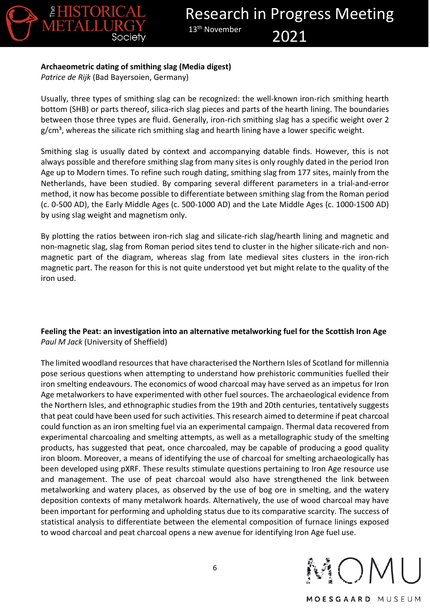

## **Archaeometric dating of smithing slag (Media digest)**

*Patrice de Rijk* (Bad Bayersoien, Germany)

Usually, three types of smithing slag can be recognized: the well-known iron-rich smithing hearth bottom (SHB) or parts thereof, silica-rich slag pieces and parts of the hearth lining. The boundaries between those three types are fluid. Generally, iron-rich smithing slag has a specific weight over 2  $g/cm<sup>3</sup>$ , whereas the silicate rich smithing slag and hearth lining have a lower specific weight.

Smithing slag is usually dated by context and accompanying datable finds. However, this is not always possible and therefore smithing slag from many sites is only roughly dated in the period Iron Age up to Modern times. To refine such rough dating, smithing slag from 177 sites, mainly from the Netherlands, have been studied. By comparing several different parameters in a trial-and-error method, it now has become possible to differentiate between smithing slag from the Roman period (c. 0-500 AD), the Early Middle Ages (c. 500-1000 AD) and the Late Middle Ages (c. 1000-1500 AD) by using slag weight and magnetism only.

By plotting the ratios between iron-rich slag and silicate-rich slag/hearth lining and magnetic and non-magnetic slag, slag from Roman period sites tend to cluster in the higher silicate-rich and nonmagnetic part of the diagram, whereas slag from late medieval sites clusters in the iron-rich magnetic part. The reason for this is not quite understood yet but might relate to the quality of the iron used.

## **Feeling the Peat: an investigation into an alternative metalworking fuel for the Scottish Iron Age** *Paul M Jack* (University of Sheffield)

The limited woodland resources that have characterised the Northern Isles of Scotland for millennia pose serious questions when attempting to understand how prehistoric communities fuelled their iron smelting endeavours. The economics of wood charcoal may have served as an impetus for Iron Age metalworkers to have experimented with other fuel sources. The archaeological evidence from the Northern Isles, and ethnographic studies from the 19th and 20th centuries, tentatively suggests that peat could have been used for such activities. This research aimed to determine if peat charcoal could function as an iron smelting fuel via an experimental campaign. Thermal data recovered from experimental charcoaling and smelting attempts, as well as a metallographic study of the smelting products, has suggested that peat, once charcoaled, may be capable of producing a good quality iron bloom. Moreover, a means of identifying the use of charcoal for smelting archaeologically has been developed using pXRF. These results stimulate questions pertaining to Iron Age resource use and management. The use of peat charcoal would also have strengthened the link between metalworking and watery places, as observed by the use of bog ore in smelting, and the watery deposition contexts of many metalwork hoards. Alternatively, the use of wood charcoal may have been important for performing and upholding status due to its comparative scarcity. The success of statistical analysis to differentiate between the elemental composition of furnace linings exposed to wood charcoal and peat charcoal opens a new avenue for identifying Iron Age fuel use.

VOM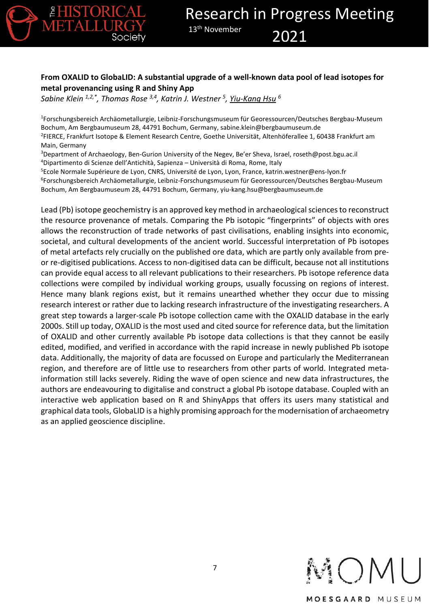

# **From OXALID to GlobaLID: A substantial upgrade of a well-known data pool of lead isotopes for metal provenancing using R and Shiny App**

*Sabine Klein 1,2,\*, Thomas Rose 3,4, Katrin J. Westner 5, Yiu-Kang Hsu <sup>6</sup>*

<sup>1</sup>Forschungsbereich Archäometallurgie, Leibniz-Forschungsmuseum für Georessourcen/Deutsches Bergbau-Museum Bochum, Am Bergbaumuseum 28, 44791 Bochum, Germany, sabine.klein@bergbaumuseum.de 2 FIERCE, Frankfurt Isotope & Element Research Centre, Goethe Universität, Altenhöferallee 1, 60438 Frankfurt am Main, Germany

3 Department of Archaeology, Ben-Gurion University of the Negev, Be'er Sheva, Israel, roseth@post.bgu.ac.il 4 Dipartimento di Scienze dell'Antichità, Sapienza – Università di Roma, Rome, Italy

5 Ecole Normale Supérieure de Lyon, CNRS, Université de Lyon, Lyon, France, katrin.westner@ens-lyon.fr

6 Forschungsbereich Archäometallurgie, Leibniz-Forschungsmuseum für Georessourcen/Deutsches Bergbau-Museum Bochum, Am Bergbaumuseum 28, 44791 Bochum, Germany, yiu-kang.hsu@bergbaumuseum.de

Lead (Pb) isotope geochemistry is an approved key method in archaeological sciences to reconstruct the resource provenance of metals. Comparing the Pb isotopic "fingerprints" of objects with ores allows the reconstruction of trade networks of past civilisations, enabling insights into economic, societal, and cultural developments of the ancient world. Successful interpretation of Pb isotopes of metal artefacts rely crucially on the published ore data, which are partly only available from preor re-digitised publications. Access to non-digitised data can be difficult, because not all institutions can provide equal access to all relevant publications to their researchers. Pb isotope reference data collections were compiled by individual working groups, usually focussing on regions of interest. Hence many blank regions exist, but it remains unearthed whether they occur due to missing research interest or rather due to lacking research infrastructure of the investigating researchers. A great step towards a larger-scale Pb isotope collection came with the OXALID database in the early 2000s. Still up today, OXALID is the most used and cited source for reference data, but the limitation of OXALID and other currently available Pb isotope data collections is that they cannot be easily edited, modified, and verified in accordance with the rapid increase in newly published Pb isotope data. Additionally, the majority of data are focussed on Europe and particularly the Mediterranean region, and therefore are of little use to researchers from other parts of world. Integrated metainformation still lacks severely. Riding the wave of open science and new data infrastructures, the authors are endeavouring to digitalise and construct a global Pb isotope database. Coupled with an interactive web application based on R and ShinyApps that offers its users many statistical and graphical data tools, GlobaLID is a highly promising approach for the modernisation of archaeometry as an applied geoscience discipline.

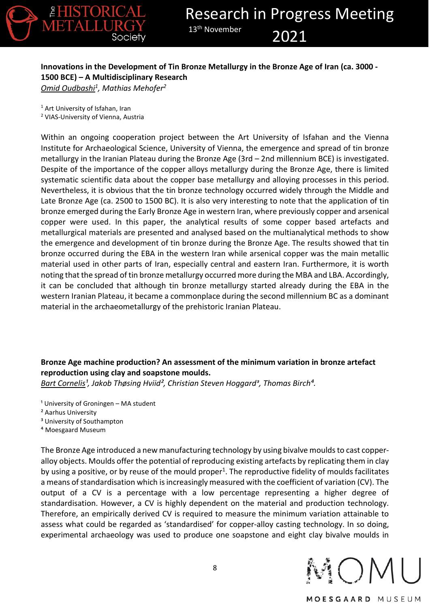

#### **Innovations in the Development of Tin Bronze Metallurgy in the Bronze Age of Iran (ca. 3000 - 1500 BCE) – A Multidisciplinary Research** *Omid Oudbashi1, Mathias Mehofer2*

<sup>1</sup> Art University of Isfahan, Iran <sup>2</sup> VIAS-University of Vienna, Austria

Within an ongoing cooperation project between the Art University of Isfahan and the Vienna Institute for Archaeological Science, University of Vienna, the emergence and spread of tin bronze metallurgy in the Iranian Plateau during the Bronze Age (3rd – 2nd millennium BCE) is investigated. Despite of the importance of the copper alloys metallurgy during the Bronze Age, there is limited systematic scientific data about the copper base metallurgy and alloying processes in this period. Nevertheless, it is obvious that the tin bronze technology occurred widely through the Middle and Late Bronze Age (ca. 2500 to 1500 BC). It is also very interesting to note that the application of tin bronze emerged during the Early Bronze Age in western Iran, where previously copper and arsenical copper were used. In this paper, the analytical results of some copper based artefacts and metallurgical materials are presented and analysed based on the multianalytical methods to show the emergence and development of tin bronze during the Bronze Age. The results showed that tin bronze occurred during the EBA in the western Iran while arsenical copper was the main metallic material used in other parts of Iran, especially central and eastern Iran. Furthermore, it is worth noting that the spread of tin bronze metallurgy occurred more during the MBA and LBA. Accordingly, it can be concluded that although tin bronze metallurgy started already during the EBA in the western Iranian Plateau, it became a commonplace during the second millennium BC as a dominant material in the archaeometallurgy of the prehistoric Iranian Plateau.

# **Bronze Age machine production? An assessment of the minimum variation in bronze artefact reproduction using clay and soapstone moulds.**

*Bart Cornelis<sup>1</sup>, Jakob Thøsing Hviid<sup>2</sup>, Christian Steven Hoggard<sup>3</sup>, Thomas Birch<sup>4</sup>.* 

- <sup>1</sup> University of Groningen MA student
- ² Aarhus University
- <sup>3</sup> University of Southampton
- ⁴ Moesgaard Museum

The Bronze Age introduced a new manufacturing technology by using bivalve moulds to cast copperalloy objects. Moulds offer the potential of reproducing existing artefacts by replicating them in clay by using a positive, or by reuse of the mould proper<sup>1</sup>. The reproductive fidelity of moulds facilitates a means of standardisation which is increasingly measured with the coefficient of variation (CV). The output of a CV is a percentage with a low percentage representing a higher degree of standardisation. However, a CV is highly dependent on the material and production technology. Therefore, an empirically derived CV is required to measure the minimum variation attainable to assess what could be regarded as 'standardised' for copper-alloy casting technology. In so doing, experimental archaeology was used to produce one soapstone and eight clay bivalve moulds in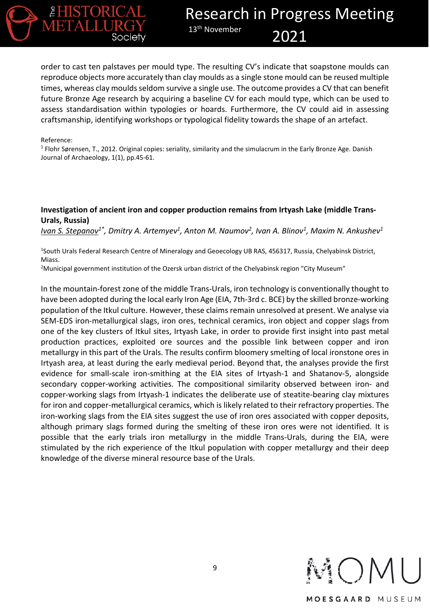

order to cast ten palstaves per mould type. The resulting CV's indicate that soapstone moulds can reproduce objects more accurately than clay moulds as a single stone mould can be reused multiple times, whereas clay moulds seldom survive a single use. The outcome provides a CV that can benefit future Bronze Age research by acquiring a baseline CV for each mould type, which can be used to assess standardisation within typologies or hoards. Furthermore, the CV could aid in assessing craftsmanship, identifying workshops or typological fidelity towards the shape of an artefact.

#### Reference:

 $1$  Flohr Sørensen, T., 2012. Original copies: seriality, similarity and the simulacrum in the Early Bronze Age. Danish Journal of Archaeology, 1(1), pp.45-61.

#### **Investigation of ancient iron and copper production remains from Irtyash Lake (middle Trans-Urals, Russia)**

*Ivan S. Stepanov<sup>1\*</sup>, Dmitry A. Artemyev<sup>1</sup>, Anton M. Naumov<sup>2</sup>, Ivan A. Blinov<sup>1</sup>, Maxim N. Ankushev<sup>1</sup>* 

<sup>1</sup>South Urals Federal Research Centre of Mineralogy and Geoecology UB RAS, 456317, Russia, Chelyabinsk District, Miass.

<sup>2</sup>Municipal government institution of the Ozersk urban district of the Chelyabinsk region "City Museum"

In the mountain-forest zone of the middle Trans-Urals, iron technology is conventionally thought to have been adopted during the local early Iron Age (EIA, 7th-3rd c. BCE) by the skilled bronze-working population of the Itkul culture. However, these claims remain unresolved at present. We analyse via SEM-EDS iron-metallurgical slags, iron ores, technical ceramics, iron object and copper slags from one of the key clusters of Itkul sites, Irtyash Lake, in order to provide first insight into past metal production practices, exploited ore sources and the possible link between copper and iron metallurgy in this part of the Urals. The results confirm bloomery smelting of local ironstone ores in Irtyash area, at least during the early medieval period. Beyond that, the analyses provide the first evidence for small-scale iron-smithing at the EIA sites of Irtyash-1 and Shatanov-5, alongside secondary copper-working activities. The compositional similarity observed between iron- and copper-working slags from Irtyash-1 indicates the deliberate use of steatite-bearing clay mixtures for iron and copper-metallurgical ceramics, which is likely related to their refractory properties. The iron-working slags from the EIA sites suggest the use of iron ores associated with copper deposits, although primary slags formed during the smelting of these iron ores were not identified. It is possible that the early trials iron metallurgy in the middle Trans-Urals, during the EIA, were stimulated by the rich experience of the Itkul population with copper metallurgy and their deep knowledge of the diverse mineral resource base of the Urals.

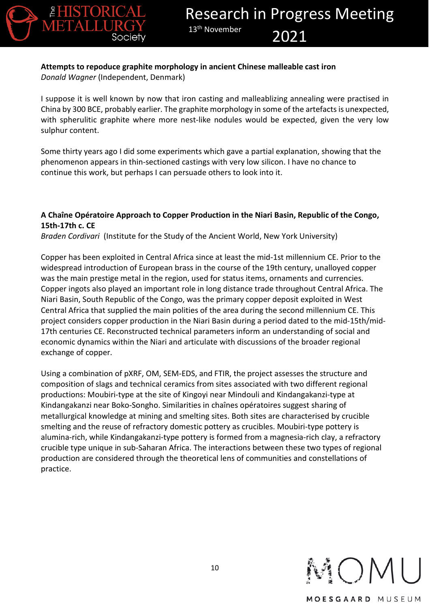

## **Attempts to repoduce graphite morphology in ancient Chinese malleable cast iron** *Donald Wagner* (Independent, Denmark)

I suppose it is well known by now that iron casting and malleablizing annealing were practised in China by 300 BCE, probably earlier. The graphite morphology in some of the artefacts is unexpected, with spherulitic graphite where more nest-like nodules would be expected, given the very low sulphur content.

Some thirty years ago I did some experiments which gave a partial explanation, showing that the phenomenon appears in thin-sectioned castings with very low silicon. I have no chance to continue this work, but perhaps I can persuade others to look into it.

### **A Chaîne Opératoire Approach to Copper Production in the Niari Basin, Republic of the Congo, 15th-17th c. CE**

*Braden Cordivari* (Institute for the Study of the Ancient World, New York University)

Copper has been exploited in Central Africa since at least the mid-1st millennium CE. Prior to the widespread introduction of European brass in the course of the 19th century, unalloyed copper was the main prestige metal in the region, used for status items, ornaments and currencies. Copper ingots also played an important role in long distance trade throughout Central Africa. The Niari Basin, South Republic of the Congo, was the primary copper deposit exploited in West Central Africa that supplied the main polities of the area during the second millennium CE. This project considers copper production in the Niari Basin during a period dated to the mid-15th/mid-17th centuries CE. Reconstructed technical parameters inform an understanding of social and economic dynamics within the Niari and articulate with discussions of the broader regional exchange of copper.

Using a combination of pXRF, OM, SEM-EDS, and FTIR, the project assesses the structure and composition of slags and technical ceramics from sites associated with two different regional productions: Moubiri-type at the site of Kingoyi near Mindouli and Kindangakanzi-type at Kindangakanzi near Boko-Songho. Similarities in chaînes opératoires suggest sharing of metallurgical knowledge at mining and smelting sites. Both sites are characterised by crucible smelting and the reuse of refractory domestic pottery as crucibles. Moubiri-type pottery is alumina-rich, while Kindangakanzi-type pottery is formed from a magnesia-rich clay, a refractory crucible type unique in sub-Saharan Africa. The interactions between these two types of regional production are considered through the theoretical lens of communities and constellations of practice.

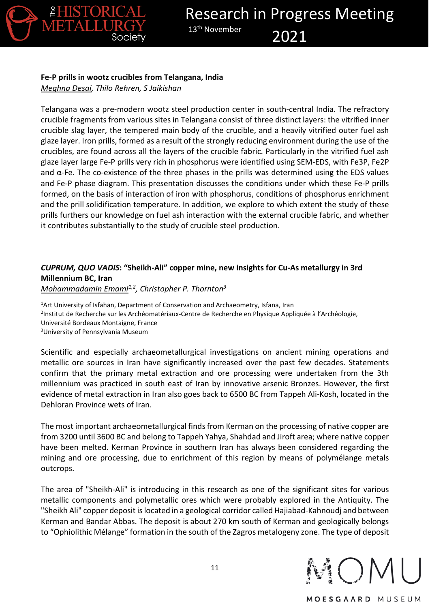

# **Fe-P prills in wootz crucibles from Telangana, India**

*Meghna Desai, Thilo Rehren, S Jaikishan*

Telangana was a pre-modern wootz steel production center in south-central India. The refractory crucible fragments from various sites in Telangana consist of three distinct layers: the vitrified inner crucible slag layer, the tempered main body of the crucible, and a heavily vitrified outer fuel ash glaze layer. Iron prills, formed as a result of the strongly reducing environment during the use of the crucibles, are found across all the layers of the crucible fabric. Particularly in the vitrified fuel ash glaze layer large Fe-P prills very rich in phosphorus were identified using SEM-EDS, with Fe3P, Fe2P and  $\alpha$ -Fe. The co-existence of the three phases in the prills was determined using the EDS values and Fe-P phase diagram. This presentation discusses the conditions under which these Fe-P prills formed, on the basis of interaction of iron with phosphorus, conditions of phosphorus enrichment and the prill solidification temperature. In addition, we explore to which extent the study of these prills furthers our knowledge on fuel ash interaction with the external crucible fabric, and whether it contributes substantially to the study of crucible steel production.

#### *CUPRUM, QUO VADIS***: "Sheikh-Ali" copper mine, new insights for Cu-As metallurgy in 3rd Millennium BC, Iran** *Mohammadamin Emami1,2, Christopher P. Thornton3*

<sup>1</sup>Art University of Isfahan, Department of Conservation and Archaeometry, Isfana, Iran 2 Institut de Recherche sur les Archéomatériaux-Centre de Recherche en Physique Appliquée à l'Archéologie, Université Bordeaux Montaigne, France 3 University of Pennsylvania Museum

Scientific and especially archaeometallurgical investigations on ancient mining operations and metallic ore sources in Iran have significantly increased over the past few decades. Statements confirm that the primary metal extraction and ore processing were undertaken from the 3th millennium was practiced in south east of Iran by innovative arsenic Bronzes. However, the first evidence of metal extraction in Iran also goes back to 6500 BC from Tappeh Ali-Kosh, located in the Dehloran Province wets of Iran.

The most important archaeometallurgical finds from Kerman on the processing of native copper are from 3200 until 3600 BC and belong to Tappeh Yahya, Shahdad and Jiroft area; where native copper have been melted. Kerman Province in southern Iran has always been considered regarding the mining and ore processing, due to enrichment of this region by means of polymélange metals outcrops.

The area of "Sheikh-Ali" is introducing in this research as one of the significant sites for various metallic components and polymetallic ores which were probably explored in the Antiquity. The "Sheikh Ali" copper deposit is located in a geological corridor called Hajiabad-Kahnoudj and between Kerman and Bandar Abbas. The deposit is about 270 km south of Kerman and geologically belongs to "Ophiolithic Mélange" formation in the south of the Zagros metalogeny zone. The type of deposit